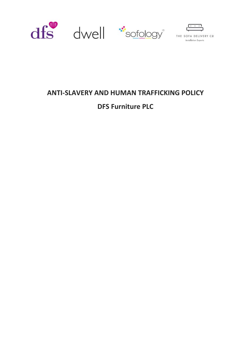



# **ANTI‐SLAVERY AND HUMAN TRAFFICKING POLICY**

# **DFS Furniture PLC**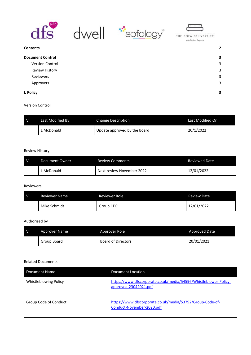





| <b>Contents</b>         | $\overline{2}$ |
|-------------------------|----------------|
| <b>Document Control</b> | 3              |
| <b>Version Control</b>  | 3              |
| <b>Review History</b>   | 3              |
| Reviewers               | 3              |
| Approvers               | 3              |
| I. Policy               | 3              |

### Version Control

| Last Modified By | <b>Change Description</b>    | Last Modified On |
|------------------|------------------------------|------------------|
| L McDonald       | Update approved by the Board | 20/1/2022        |

# Review History

| l V | Document Owner | <b>Review Comments</b>    | <b>Reviewed Date</b> |
|-----|----------------|---------------------------|----------------------|
|     | L McDonald     | Next review November 2022 | 12/01/2022           |

# Reviewers

| $\mathsf{N}$ | <b>Reviewer Name</b> | Reviewer Role | <b>Review Date</b> |
|--------------|----------------------|---------------|--------------------|
|              | Mike Schmidt         | Group CFO     | 12/01/2022         |

# Authorised by

| Approver Name | Approver Role             | Approved Date |
|---------------|---------------------------|---------------|
| Group Board   | <b>Board of Directors</b> | 20/01/2021    |

# Related Documents

| <b>Document Name</b>  | Document Location                                                                         |
|-----------------------|-------------------------------------------------------------------------------------------|
| Whistleblowing Policy | https://www.dfscorporate.co.uk/media/54596/Whistleblower-Policy-<br>approved-23042021.pdf |
| Group Code of Conduct | https://www.dfscorporate.co.uk/media/53792/Group-Code-of-<br>Conduct-November-2020.pdf    |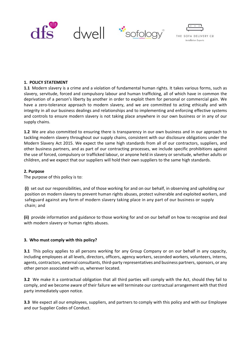



# **1. POLICY STATEMENT**

**1.1** Modern slavery is a crime and a violation of fundamental human rights. It takes various forms, such as slavery, servitude, forced and compulsory labour and human trafficking, all of which have in common the deprivation of a person's liberty by another in order to exploit them for personal or commercial gain. We have a zero-tolerance approach to modern slavery, and we are committed to acting ethically and with integrity in all our business dealings and relationships and to implementing and enforcing effective systems and controls to ensure modern slavery is not taking place anywhere in our own business or in any of our supply chains.

**1.2** We are also committed to ensuring there is transparency in our own business and in our approach to tackling modern slavery throughout our supply chains, consistent with our disclosure obligations under the Modern Slavery Act 2015. We expect the same high standards from all of our contractors, suppliers, and other business partners, and as part of our contracting processes, we include specific prohibitions against the use of forced, compulsory or trafficked labour, or anyone held in slavery or servitude, whether adults or children, and we expect that our suppliers will hold their own suppliers to the same high standards.

### **2. Purpose**

The purpose of this policy is to:

**(i)** set out our responsibilities, and of those working for and on our behalf, in observing and upholding our position on modern slavery to prevent human rights abuses, protect vulnerable and exploited workers, and safeguard against any form of modern slavery taking place in any part of our business or supply chain; and

**(ii)** provide information and guidance to those working for and on our behalf on how to recognise and deal with modern slavery or human rights abuses.

### **3. Who must comply with this policy?**

**3.1** This policy applies to all persons working for any Group Company or on our behalf in any capacity, including employees at all levels, directors, officers, agency workers, seconded workers, volunteers, interns, agents, contractors, external consultants, third‐party representatives and business partners, sponsors, or any other person associated with us, wherever located.

**3.2** We make it a contractual obligation that all third parties will comply with the Act, should they fail to comply, and we become aware of their failure we will terminate our contractual arrangement with that third party immediately upon notice.

**3.3** We expect all our employees, suppliers, and partners to comply with this policy and with our Employee and our Supplier Codes of Conduct.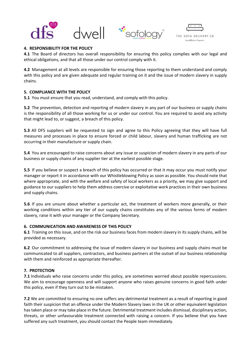



# **4. RESPONSIBILITY FOR THE POLICY**

**4.1** The Board of directors has overall responsibility for ensuring this policy complies with our legal and ethical obligations, and that all those under our control comply with it.

**4.2** Management at all levels are responsible for ensuring those reporting to them understand and comply with this policy and are given adequate and regular training on it and the issue of modern slavery in supply chains.

# **5. COMPLIANCE WITH THE POLICY**

**5.1** You must ensure that you read, understand, and comply with this policy.

**5.2** The prevention, detection and reporting of modern slavery in any part of our business or supply chains is the responsibility of all those working for us or under our control. You are required to avoid any activity that might lead to, or suggest, a breach of this policy.

**5.3**  All DFS suppliers will be requested to sign and agree to this Policy agreeing that they will have full measures and processes in place to ensure forced or child labour, slavery and human trafficking are not occurring in their manufacture or supply chain.

**5.4** You are encouraged to raise concerns about any issue or suspicion of modern slavery in any parts of our business or supply chains of any supplier tier at the earliest possible stage.

**5.5** If you believe or suspect a breach of this policy has occurred or that it may occur you must notify your manager or report it in accordance with our Whistleblowing Policy as soon as possible. You should note that where appropriate, and with the welfare and safety of local workers as a priority, we may give support and guidance to our suppliers to help them address coercive or exploitative work practices in their own business and supply chains.

**5.6** If you are unsure about whether a particular act, the treatment of workers more generally, or their working conditions within any tier of our supply chains constitutes any of the various forms of modern slavery, raise it with your manager or the Company Secretary.

### **6. COMMUNICATION AND AWARENESS OF THIS POLICY**

**6.1** Training on this issue, and on the risk our business faces from modern slavery in its supply chains, will be provided as necessary.

**6.2** Our commitment to addressing the issue of modern slavery in our business and supply chains must be communicated to all suppliers, contractors, and business partners at the outset of our business relationship with them and reinforced as appropriate thereafter.

# **7. PROTECTION**

**7.1** Individuals who raise concerns under this policy, are sometimes worried about possible repercussions. We aim to encourage openness and will support anyone who raises genuine concerns in good faith under this policy, even if they turn out to be mistaken.

**7.2** We are committed to ensuring no one suffers any detrimental treatment as a result of reporting in good faith their suspicion that an offence under the Modern Slavery laws in the UK or other equivalent legislation has taken place or may take place in the future. Detrimental treatment includes dismissal, disciplinary action, threats, or other unfavourable treatment connected with raising a concern. If you believe that you have suffered any such treatment, you should contact the People team immediately.